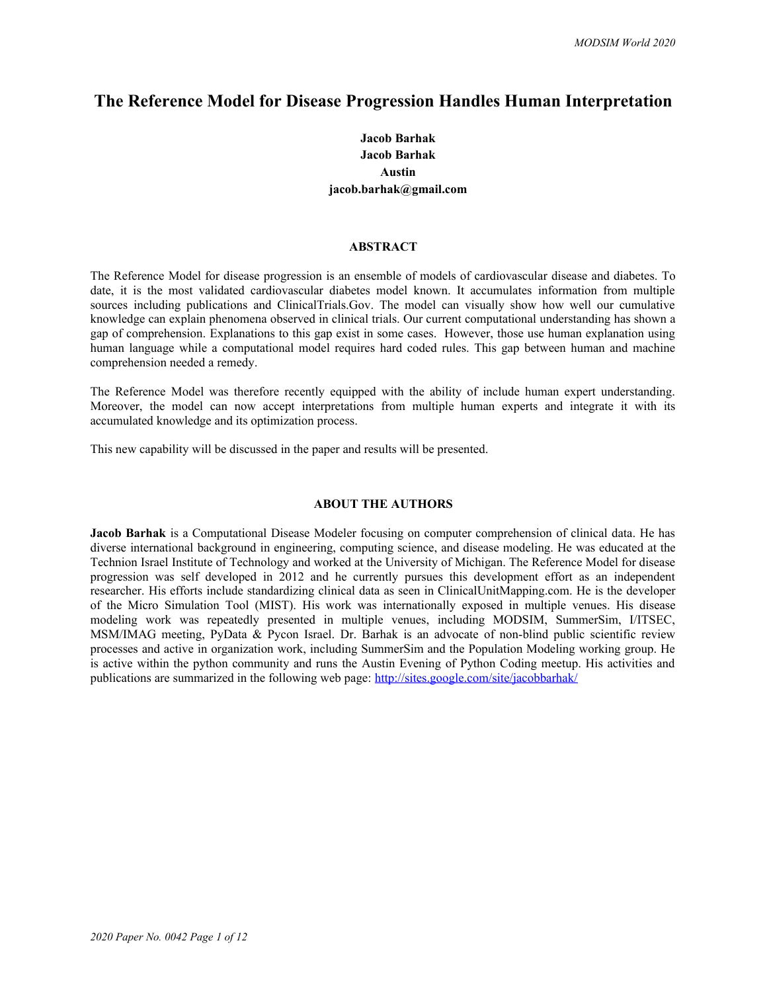# **The Reference Model for Disease Progression Handles Human Interpretation**

# **Jacob Barhak Jacob Barhak Austin jacob.barhak@gmail.com**

### **ABSTRACT**

The Reference Model for disease progression is an ensemble of models of cardiovascular disease and diabetes. To date, it is the most validated cardiovascular diabetes model known. It accumulates information from multiple sources including publications and ClinicalTrials.Gov. The model can visually show how well our cumulative knowledge can explain phenomena observed in clinical trials. Our current computational understanding has shown a gap of comprehension. Explanations to this gap exist in some cases. However, those use human explanation using human language while a computational model requires hard coded rules. This gap between human and machine comprehension needed a remedy.

The Reference Model was therefore recently equipped with the ability of include human expert understanding. Moreover, the model can now accept interpretations from multiple human experts and integrate it with its accumulated knowledge and its optimization process.

This new capability will be discussed in the paper and results will be presented.

## **ABOUT THE AUTHORS**

**Jacob Barhak** is a Computational Disease Modeler focusing on computer comprehension of clinical data. He has diverse international background in engineering, computing science, and disease modeling. He was educated at the Technion Israel Institute of Technology and worked at the University of Michigan. The Reference Model for disease progression was self developed in 2012 and he currently pursues this development effort as an independent researcher. His efforts include standardizing clinical data as seen in ClinicalUnitMapping.com. He is the developer of the Micro Simulation Tool (MIST). His work was internationally exposed in multiple venues. His disease modeling work was repeatedly presented in multiple venues, including MODSIM, SummerSim, I/ITSEC, MSM/IMAG meeting, PyData & Pycon Israel. Dr. Barhak is an advocate of non-blind public scientific review processes and active in organization work, including SummerSim and the Population Modeling working group. He is active within the python community and runs the Austin Evening of Python Coding meetup. His activities and publications are summarized in the following web page:<http://sites.google.com/site/jacobbarhak/>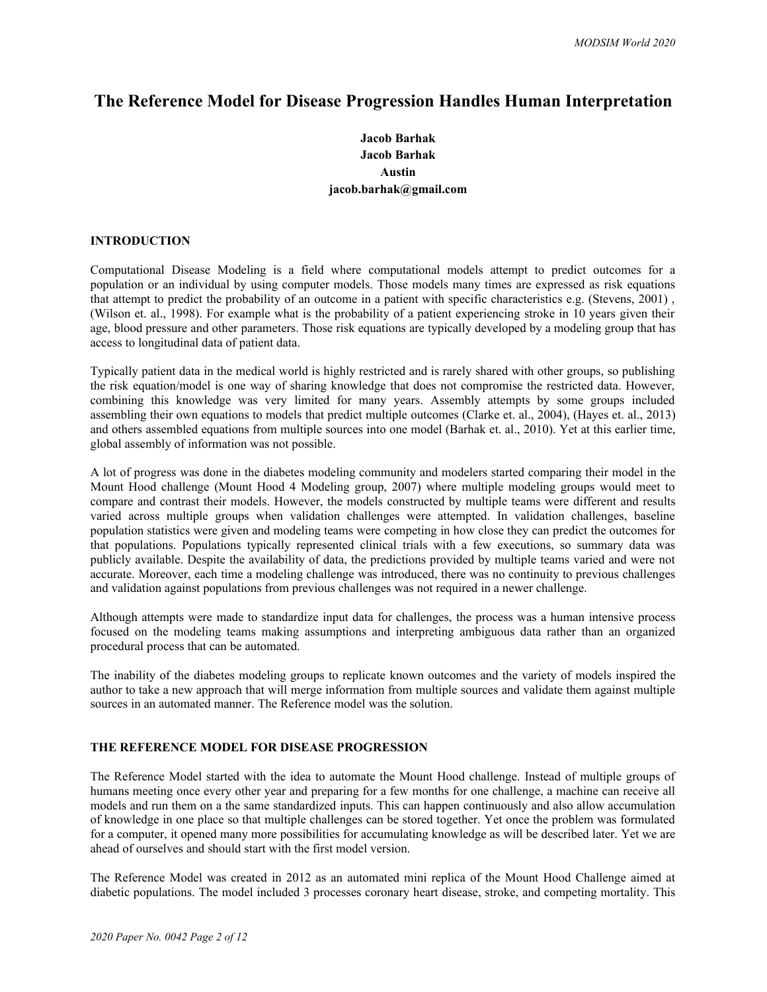# **The Reference Model for Disease Progression Handles Human Interpretation**

# **Jacob Barhak Jacob Barhak Austin jacob.barhak@gmail.com**

# **INTRODUCTION**

Computational Disease Modeling is a field where computational models attempt to predict outcomes for a population or an individual by using computer models. Those models many times are expressed as risk equations that attempt to predict the probability of an outcome in a patient with specific characteristics e.g. (Stevens, 2001) , (Wilson et. al., 1998). For example what is the probability of a patient experiencing stroke in 10 years given their age, blood pressure and other parameters. Those risk equations are typically developed by a modeling group that has access to longitudinal data of patient data.

Typically patient data in the medical world is highly restricted and is rarely shared with other groups, so publishing the risk equation/model is one way of sharing knowledge that does not compromise the restricted data. However, combining this knowledge was very limited for many years. Assembly attempts by some groups included assembling their own equations to models that predict multiple outcomes (Clarke et. al., 2004), (Hayes et. al., 2013) and others assembled equations from multiple sources into one model (Barhak et. al., 2010). Yet at this earlier time, global assembly of information was not possible.

A lot of progress was done in the diabetes modeling community and modelers started comparing their model in the Mount Hood challenge (Mount Hood 4 Modeling group, 2007) where multiple modeling groups would meet to compare and contrast their models. However, the models constructed by multiple teams were different and results varied across multiple groups when validation challenges were attempted. In validation challenges, baseline population statistics were given and modeling teams were competing in how close they can predict the outcomes for that populations. Populations typically represented clinical trials with a few executions, so summary data was publicly available. Despite the availability of data, the predictions provided by multiple teams varied and were not accurate. Moreover, each time a modeling challenge was introduced, there was no continuity to previous challenges and validation against populations from previous challenges was not required in a newer challenge.

Although attempts were made to standardize input data for challenges, the process was a human intensive process focused on the modeling teams making assumptions and interpreting ambiguous data rather than an organized procedural process that can be automated.

The inability of the diabetes modeling groups to replicate known outcomes and the variety of models inspired the author to take a new approach that will merge information from multiple sources and validate them against multiple sources in an automated manner. The Reference model was the solution.

## **THE REFERENCE MODEL FOR DISEASE PROGRESSION**

The Reference Model started with the idea to automate the Mount Hood challenge. Instead of multiple groups of humans meeting once every other year and preparing for a few months for one challenge, a machine can receive all models and run them on a the same standardized inputs. This can happen continuously and also allow accumulation of knowledge in one place so that multiple challenges can be stored together. Yet once the problem was formulated for a computer, it opened many more possibilities for accumulating knowledge as will be described later. Yet we are ahead of ourselves and should start with the first model version.

The Reference Model was created in 2012 as an automated mini replica of the Mount Hood Challenge aimed at diabetic populations. The model included 3 processes coronary heart disease, stroke, and competing mortality. This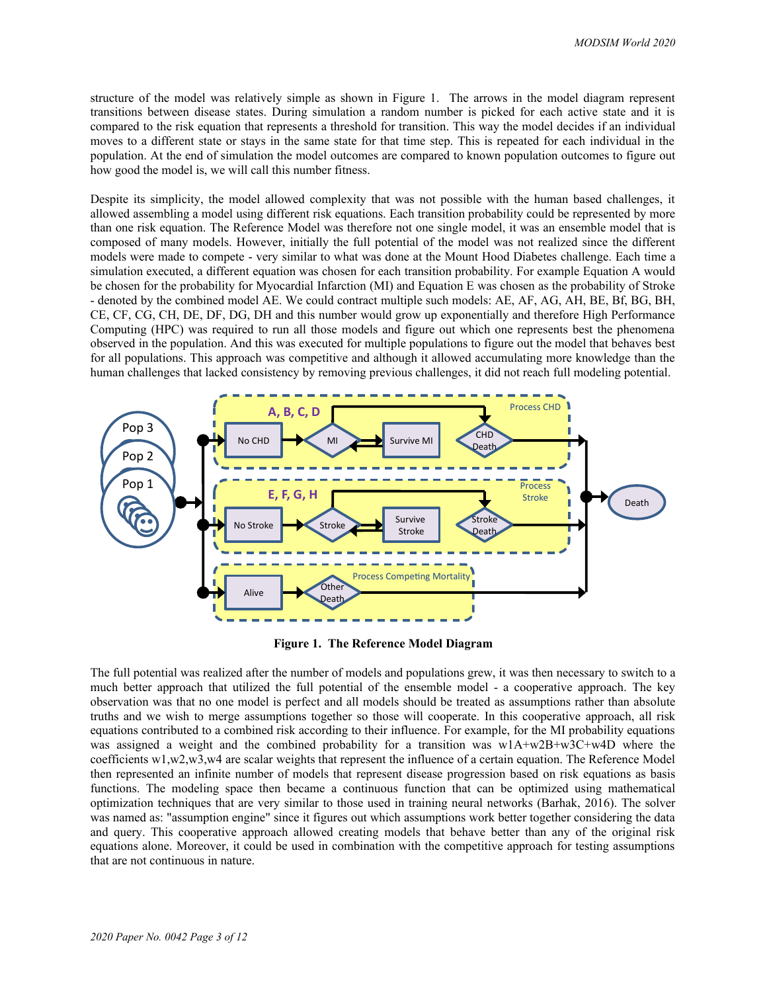structure of the model was relatively simple as shown in Figure 1. The arrows in the model diagram represent transitions between disease states. During simulation a random number is picked for each active state and it is compared to the risk equation that represents a threshold for transition. This way the model decides if an individual moves to a different state or stays in the same state for that time step. This is repeated for each individual in the population. At the end of simulation the model outcomes are compared to known population outcomes to figure out how good the model is, we will call this number fitness.

Despite its simplicity, the model allowed complexity that was not possible with the human based challenges, it allowed assembling a model using different risk equations. Each transition probability could be represented by more than one risk equation. The Reference Model was therefore not one single model, it was an ensemble model that is composed of many models. However, initially the full potential of the model was not realized since the different models were made to compete - very similar to what was done at the Mount Hood Diabetes challenge. Each time a simulation executed, a different equation was chosen for each transition probability. For example Equation A would be chosen for the probability for Myocardial Infarction (MI) and Equation E was chosen as the probability of Stroke - denoted by the combined model AE. We could contract multiple such models: AE, AF, AG, AH, BE, Bf, BG, BH, CE, CF, CG, CH, DE, DF, DG, DH and this number would grow up exponentially and therefore High Performance Computing (HPC) was required to run all those models and figure out which one represents best the phenomena observed in the population. And this was executed for multiple populations to figure out the model that behaves best for all populations. This approach was competitive and although it allowed accumulating more knowledge than the human challenges that lacked consistency by removing previous challenges, it did not reach full modeling potential.



**Figure 1. The Reference Model Diagram**

The full potential was realized after the number of models and populations grew, it was then necessary to switch to a much better approach that utilized the full potential of the ensemble model - a cooperative approach. The key observation was that no one model is perfect and all models should be treated as assumptions rather than absolute truths and we wish to merge assumptions together so those will cooperate. In this cooperative approach, all risk equations contributed to a combined risk according to their influence. For example, for the MI probability equations was assigned a weight and the combined probability for a transition was w1A+w2B+w3C+w4D where the coefficients w1,w2,w3,w4 are scalar weights that represent the influence of a certain equation. The Reference Model then represented an infinite number of models that represent disease progression based on risk equations as basis functions. The modeling space then became a continuous function that can be optimized using mathematical optimization techniques that are very similar to those used in training neural networks (Barhak, 2016). The solver was named as: "assumption engine" since it figures out which assumptions work better together considering the data and query. This cooperative approach allowed creating models that behave better than any of the original risk equations alone. Moreover, it could be used in combination with the competitive approach for testing assumptions that are not continuous in nature.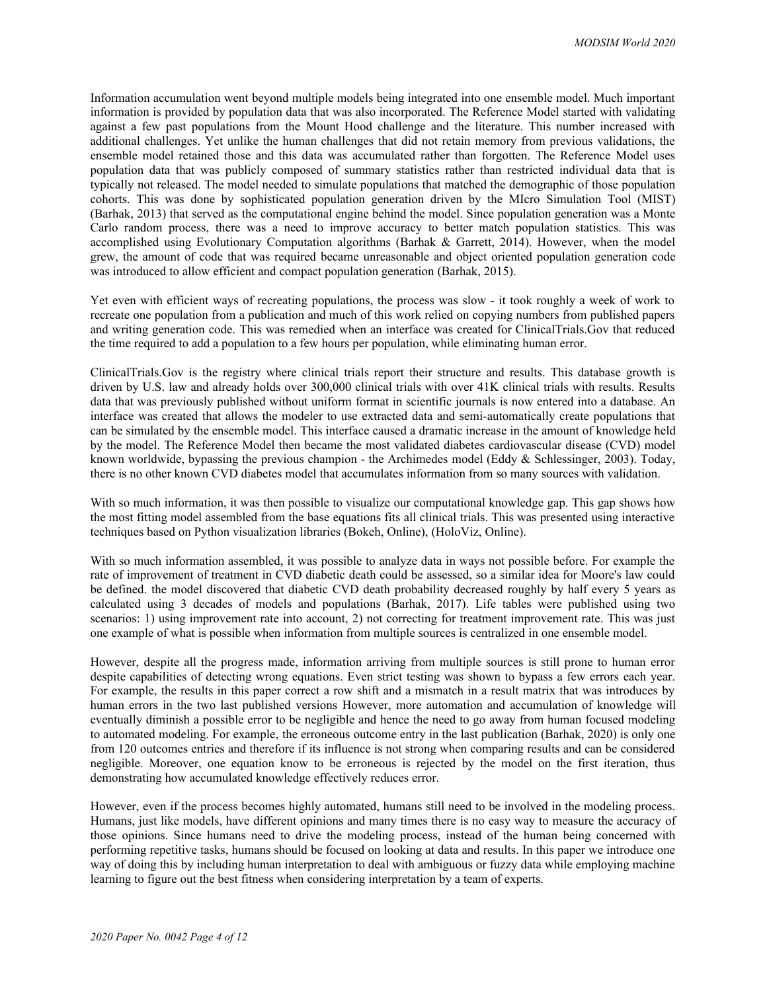Information accumulation went beyond multiple models being integrated into one ensemble model. Much important information is provided by population data that was also incorporated. The Reference Model started with validating against a few past populations from the Mount Hood challenge and the literature. This number increased with additional challenges. Yet unlike the human challenges that did not retain memory from previous validations, the ensemble model retained those and this data was accumulated rather than forgotten. The Reference Model uses population data that was publicly composed of summary statistics rather than restricted individual data that is typically not released. The model needed to simulate populations that matched the demographic of those population cohorts. This was done by sophisticated population generation driven by the MIcro Simulation Tool (MIST) (Barhak, 2013) that served as the computational engine behind the model. Since population generation was a Monte Carlo random process, there was a need to improve accuracy to better match population statistics. This was accomplished using Evolutionary Computation algorithms (Barhak & Garrett, 2014). However, when the model grew, the amount of code that was required became unreasonable and object oriented population generation code was introduced to allow efficient and compact population generation (Barhak, 2015).

Yet even with efficient ways of recreating populations, the process was slow - it took roughly a week of work to recreate one population from a publication and much of this work relied on copying numbers from published papers and writing generation code. This was remedied when an interface was created for ClinicalTrials.Gov that reduced the time required to add a population to a few hours per population, while eliminating human error.

ClinicalTrials.Gov is the registry where clinical trials report their structure and results. This database growth is driven by U.S. law and already holds over 300,000 clinical trials with over 41K clinical trials with results. Results data that was previously published without uniform format in scientific journals is now entered into a database. An interface was created that allows the modeler to use extracted data and semi-automatically create populations that can be simulated by the ensemble model. This interface caused a dramatic increase in the amount of knowledge held by the model. The Reference Model then became the most validated diabetes cardiovascular disease (CVD) model known worldwide, bypassing the previous champion - the Archimedes model (Eddy & Schlessinger, 2003). Today, there is no other known CVD diabetes model that accumulates information from so many sources with validation.

With so much information, it was then possible to visualize our computational knowledge gap. This gap shows how the most fitting model assembled from the base equations fits all clinical trials. This was presented using interactive techniques based on Python visualization libraries (Bokeh, Online), (HoloViz, Online).

With so much information assembled, it was possible to analyze data in ways not possible before. For example the rate of improvement of treatment in CVD diabetic death could be assessed, so a similar idea for Moore's law could be defined. the model discovered that diabetic CVD death probability decreased roughly by half every 5 years as calculated using 3 decades of models and populations (Barhak, 2017). Life tables were published using two scenarios: 1) using improvement rate into account, 2) not correcting for treatment improvement rate. This was just one example of what is possible when information from multiple sources is centralized in one ensemble model.

However, despite all the progress made, information arriving from multiple sources is still prone to human error despite capabilities of detecting wrong equations. Even strict testing was shown to bypass a few errors each year. For example, the results in this paper correct a row shift and a mismatch in a result matrix that was introduces by human errors in the two last published versions However, more automation and accumulation of knowledge will eventually diminish a possible error to be negligible and hence the need to go away from human focused modeling to automated modeling. For example, the erroneous outcome entry in the last publication (Barhak, 2020) is only one from 120 outcomes entries and therefore if its influence is not strong when comparing results and can be considered negligible. Moreover, one equation know to be erroneous is rejected by the model on the first iteration, thus demonstrating how accumulated knowledge effectively reduces error.

However, even if the process becomes highly automated, humans still need to be involved in the modeling process. Humans, just like models, have different opinions and many times there is no easy way to measure the accuracy of those opinions. Since humans need to drive the modeling process, instead of the human being concerned with performing repetitive tasks, humans should be focused on looking at data and results. In this paper we introduce one way of doing this by including human interpretation to deal with ambiguous or fuzzy data while employing machine learning to figure out the best fitness when considering interpretation by a team of experts.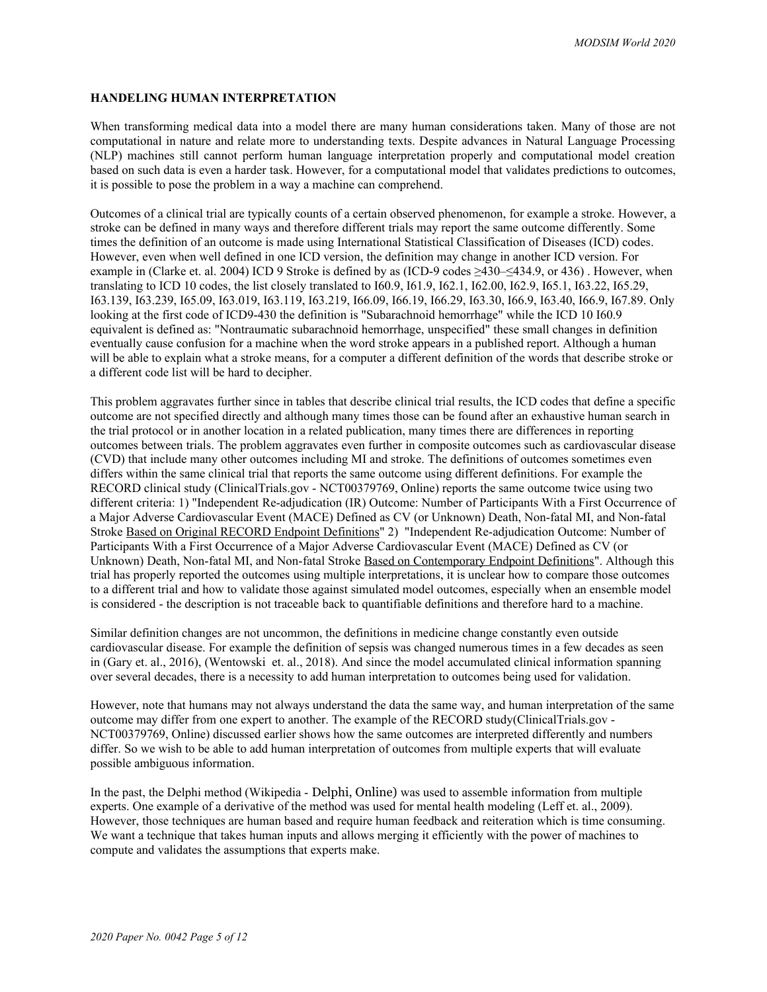## **HANDELING HUMAN INTERPRETATION**

When transforming medical data into a model there are many human considerations taken. Many of those are not computational in nature and relate more to understanding texts. Despite advances in Natural Language Processing (NLP) machines still cannot perform human language interpretation properly and computational model creation based on such data is even a harder task. However, for a computational model that validates predictions to outcomes, it is possible to pose the problem in a way a machine can comprehend.

Outcomes of a clinical trial are typically counts of a certain observed phenomenon, for example a stroke. However, a stroke can be defined in many ways and therefore different trials may report the same outcome differently. Some times the definition of an outcome is made using International Statistical Classification of Diseases (ICD) codes. However, even when well defined in one ICD version, the definition may change in another ICD version. For example in (Clarke et. al. 2004) ICD 9 Stroke is defined by as (ICD-9 codes ≥430–≤434.9, or 436) . However, when translating to ICD 10 codes, the list closely translated to I60.9, I61.9, I62.1, I62.00, I62.9, I65.1, I63.22, I65.29, I63.139, I63.239, I65.09, I63.019, I63.119, I63.219, I66.09, I66.19, I66.29, I63.30, I66.9, I63.40, I66.9, I67.89. Only looking at the first code of ICD9-430 the definition is "Subarachnoid hemorrhage" while the ICD 10 I60.9 equivalent is defined as: "Nontraumatic subarachnoid hemorrhage, unspecified" these small changes in definition eventually cause confusion for a machine when the word stroke appears in a published report. Although a human will be able to explain what a stroke means, for a computer a different definition of the words that describe stroke or a different code list will be hard to decipher.

This problem aggravates further since in tables that describe clinical trial results, the ICD codes that define a specific outcome are not specified directly and although many times those can be found after an exhaustive human search in the trial protocol or in another location in a related publication, many times there are differences in reporting outcomes between trials. The problem aggravates even further in composite outcomes such as cardiovascular disease (CVD) that include many other outcomes including MI and stroke. The definitions of outcomes sometimes even differs within the same clinical trial that reports the same outcome using different definitions. For example the RECORD clinical study (ClinicalTrials.gov - NCT00379769, Online) reports the same outcome twice using two different criteria: 1) "Independent Re-adjudication (IR) Outcome: Number of Participants With a First Occurrence of a Major Adverse Cardiovascular Event (MACE) Defined as CV (or Unknown) Death, Non-fatal MI, and Non-fatal Stroke Based on Original RECORD Endpoint Definitions" 2) "Independent Re-adjudication Outcome: Number of Participants With a First Occurrence of a Major Adverse Cardiovascular Event (MACE) Defined as CV (or Unknown) Death, Non-fatal MI, and Non-fatal Stroke Based on Contemporary Endpoint Definitions". Although this trial has properly reported the outcomes using multiple interpretations, it is unclear how to compare those outcomes to a different trial and how to validate those against simulated model outcomes, especially when an ensemble model is considered - the description is not traceable back to quantifiable definitions and therefore hard to a machine.

Similar definition changes are not uncommon, the definitions in medicine change constantly even outside cardiovascular disease. For example the definition of sepsis was changed numerous times in a few decades as seen in (Gary et. al., 2016), (Wentowski et. al., 2018). And since the model accumulated clinical information spanning over several decades, there is a necessity to add human interpretation to outcomes being used for validation.

However, note that humans may not always understand the data the same way, and human interpretation of the same outcome may differ from one expert to another. The example of the RECORD study(ClinicalTrials.gov - NCT00379769, Online) discussed earlier shows how the same outcomes are interpreted differently and numbers differ. So we wish to be able to add human interpretation of outcomes from multiple experts that will evaluate possible ambiguous information.

In the past, the Delphi method (Wikipedia - Delphi, Online) was used to assemble information from multiple experts. One example of a derivative of the method was used for mental health modeling (Leff et. al., 2009). However, those techniques are human based and require human feedback and reiteration which is time consuming. We want a technique that takes human inputs and allows merging it efficiently with the power of machines to compute and validates the assumptions that experts make.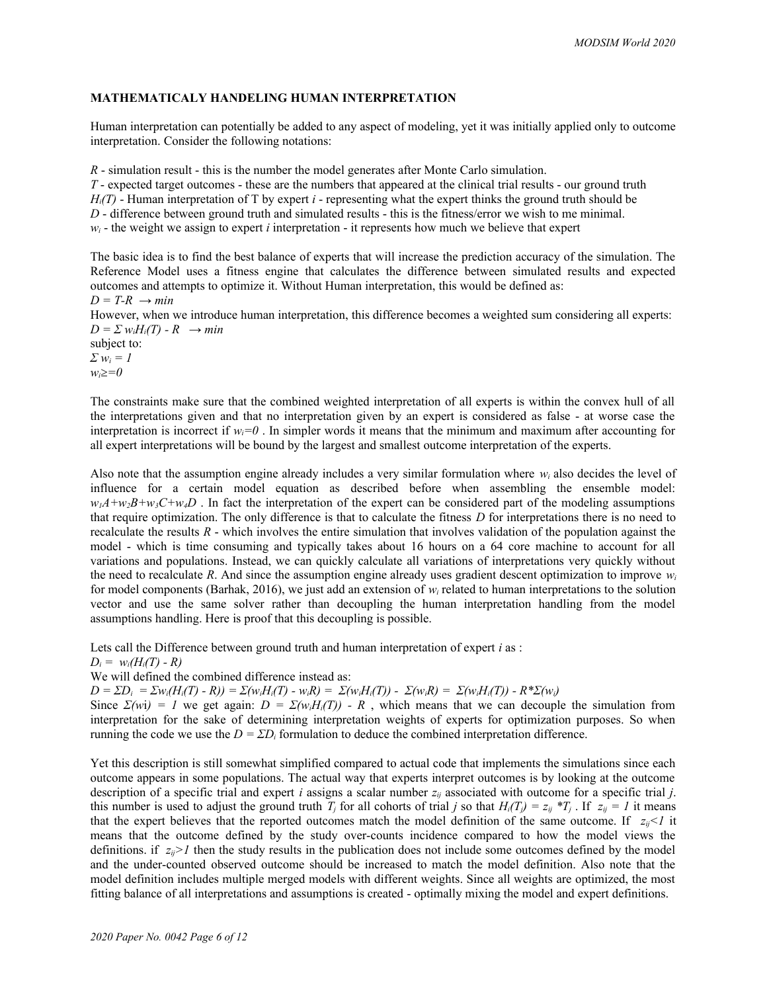# **MATHEMATICALY HANDELING HUMAN INTERPRETATION**

Human interpretation can potentially be added to any aspect of modeling, yet it was initially applied only to outcome interpretation. Consider the following notations:

*R* - simulation result - this is the number the model generates after Monte Carlo simulation.

*T* - expected target outcomes - these are the numbers that appeared at the clinical trial results - our ground truth  $H_i(T)$  - Human interpretation of T by expert *i* - representing what the expert thinks the ground truth should be *D* - difference between ground truth and simulated results - this is the fitness/error we wish to me minimal.  $w_i$  - the weight we assign to expert *i* interpretation - it represents how much we believe that expert

The basic idea is to find the best balance of experts that will increase the prediction accuracy of the simulation. The Reference Model uses a fitness engine that calculates the difference between simulated results and expected outcomes and attempts to optimize it. Without Human interpretation, this would be defined as:  $D = T-R \rightarrow min$ 

However, when we introduce human interpretation, this difference becomes a weighted sum considering all experts:  $D = \sum w_i H_i(T) - R \rightarrow min$ 

subject to: *Σ wi = 1*

*wi≥=0*

The constraints make sure that the combined weighted interpretation of all experts is within the convex hull of all the interpretations given and that no interpretation given by an expert is considered as false - at worse case the interpretation is incorrect if  $w_i=0$ . In simpler words it means that the minimum and maximum after accounting for all expert interpretations will be bound by the largest and smallest outcome interpretation of the experts.

Also note that the assumption engine already includes a very similar formulation where *wi* also decides the level of influence for a certain model equation as described before when assembling the ensemble model:  $w_1A + w_2B + w_3C + w_4D$ . In fact the interpretation of the expert can be considered part of the modeling assumptions that require optimization. The only difference is that to calculate the fitness *D* for interpretations there is no need to recalculate the results *R* - which involves the entire simulation that involves validation of the population against the model - which is time consuming and typically takes about 16 hours on a 64 core machine to account for all variations and populations. Instead, we can quickly calculate all variations of interpretations very quickly without the need to recalculate R. And since the assumption engine already uses gradient descent optimization to improve  $w_i$ for model components (Barhak, 2016), we just add an extension of  $w_i$  related to human interpretations to the solution vector and use the same solver rather than decoupling the human interpretation handling from the model assumptions handling. Here is proof that this decoupling is possible.

Lets call the Difference between ground truth and human interpretation of expert *i* as :

 $D_i = w_i(H_i(T) - R)$ 

We will defined the combined difference instead as:

 $D = \Sigma D_i = \Sigma w_i(H_i(T) - R) = \Sigma (w_i H_i(T) - w_i R) = \Sigma (w_i H_i(T)) - \Sigma (w_i R) = \Sigma (w_i H_i(T)) - R^* \Sigma (w_i)$ 

Since  $\Sigma(wi) = I$  we get again:  $D = \Sigma(w_i H_i(T)) - R$ , which means that we can decouple the simulation from interpretation for the sake of determining interpretation weights of experts for optimization purposes. So when running the code we use the  $D = \sum D_i$  formulation to deduce the combined interpretation difference.

Yet this description is still somewhat simplified compared to actual code that implements the simulations since each outcome appears in some populations. The actual way that experts interpret outcomes is by looking at the outcome description of a specific trial and expert *i* assigns a scalar number *zij* associated with outcome for a specific trial *j*. this number is used to adjust the ground truth *T<sub>i</sub>* for all cohorts of trial *j* so that  $H_i(T_j) = z_{ij} * T_j$ . If  $z_{ij} = 1$  it means that the expert believes that the reported outcomes match the model definition of the same outcome. If  $z_{ii}$  it means that the outcome defined by the study over-counts incidence compared to how the model views the definitions. if  $z_i > l$  then the study results in the publication does not include some outcomes defined by the model and the under-counted observed outcome should be increased to match the model definition. Also note that the model definition includes multiple merged models with different weights. Since all weights are optimized, the most fitting balance of all interpretations and assumptions is created - optimally mixing the model and expert definitions.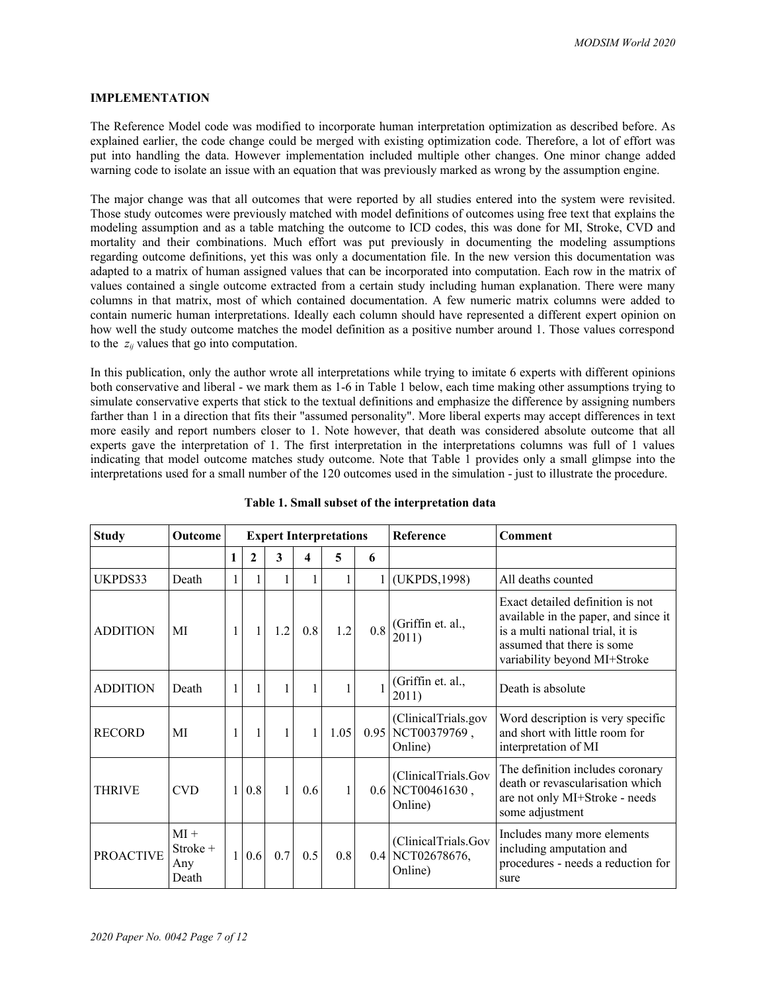#### **IMPLEMENTATION**

The Reference Model code was modified to incorporate human interpretation optimization as described before. As explained earlier, the code change could be merged with existing optimization code. Therefore, a lot of effort was put into handling the data. However implementation included multiple other changes. One minor change added warning code to isolate an issue with an equation that was previously marked as wrong by the assumption engine.

The major change was that all outcomes that were reported by all studies entered into the system were revisited. Those study outcomes were previously matched with model definitions of outcomes using free text that explains the modeling assumption and as a table matching the outcome to ICD codes, this was done for MI, Stroke, CVD and mortality and their combinations. Much effort was put previously in documenting the modeling assumptions regarding outcome definitions, yet this was only a documentation file. In the new version this documentation was adapted to a matrix of human assigned values that can be incorporated into computation. Each row in the matrix of values contained a single outcome extracted from a certain study including human explanation. There were many columns in that matrix, most of which contained documentation. A few numeric matrix columns were added to contain numeric human interpretations. Ideally each column should have represented a different expert opinion on how well the study outcome matches the model definition as a positive number around 1. Those values correspond to the *zij* values that go into computation.

In this publication, only the author wrote all interpretations while trying to imitate 6 experts with different opinions both conservative and liberal - we mark them as 1-6 in Table 1 below, each time making other assumptions trying to simulate conservative experts that stick to the textual definitions and emphasize the difference by assigning numbers farther than 1 in a direction that fits their "assumed personality". More liberal experts may accept differences in text more easily and report numbers closer to 1. Note however, that death was considered absolute outcome that all experts gave the interpretation of 1. The first interpretation in the interpretations columns was full of 1 values indicating that model outcome matches study outcome. Note that Table 1 provides only a small glimpse into the interpretations used for a small number of the 120 outcomes used in the simulation - just to illustrate the procedure.

| <b>Study</b>     | Outcome                            | <b>Expert Interpretations</b> |              |              |     |      |              | Reference                                      | Comment                                                                                                                                                                    |
|------------------|------------------------------------|-------------------------------|--------------|--------------|-----|------|--------------|------------------------------------------------|----------------------------------------------------------------------------------------------------------------------------------------------------------------------------|
|                  |                                    | 1                             | 2            | 3            | 4   | 5    | 6            |                                                |                                                                                                                                                                            |
| UKPDS33          | Death                              | 1                             | 1            | 1            |     |      | $\mathbf{1}$ | (UKPDS, 1998)                                  | All deaths counted                                                                                                                                                         |
| <b>ADDITION</b>  | MI                                 | 1                             | $\mathbf{1}$ | 1.2          | 0.8 | 1.2  | 0.8          | (Griffin et. al.,<br>2011)                     | Exact detailed definition is not<br>available in the paper, and since it<br>is a multi national trial, it is<br>assumed that there is some<br>variability beyond MI+Stroke |
| <b>ADDITION</b>  | Death                              | 1                             | 1            | 1            | 1   |      |              | (Griffin et. al.,<br>2011)                     | Death is absolute                                                                                                                                                          |
| <b>RECORD</b>    | MI                                 | 1                             | 1            | $\mathbf{1}$ | 1   | 1.05 | 0.95         | (ClinicalTrials.gov<br>NCT00379769,<br>Online) | Word description is very specific<br>and short with little room for<br>interpretation of MI                                                                                |
| <b>THRIVE</b>    | <b>CVD</b>                         | 1                             | 0.8          | $\mathbf{1}$ | 0.6 |      | 0.6          | (ClinicalTrials.Gov<br>NCT00461630,<br>Online) | The definition includes coronary<br>death or revascularisation which<br>are not only MI+Stroke - needs<br>some adjustment                                                  |
| <b>PROACTIVE</b> | $MI +$<br>Stroke +<br>Any<br>Death | $\mathbf{1}$                  | 0.6          | 0.7          | 0.5 | 0.8  | 0.4          | (ClinicalTrials.Gov<br>NCT02678676,<br>Online) | Includes many more elements<br>including amputation and<br>procedures - needs a reduction for<br>sure                                                                      |

### **Table 1. Small subset of the interpretation data**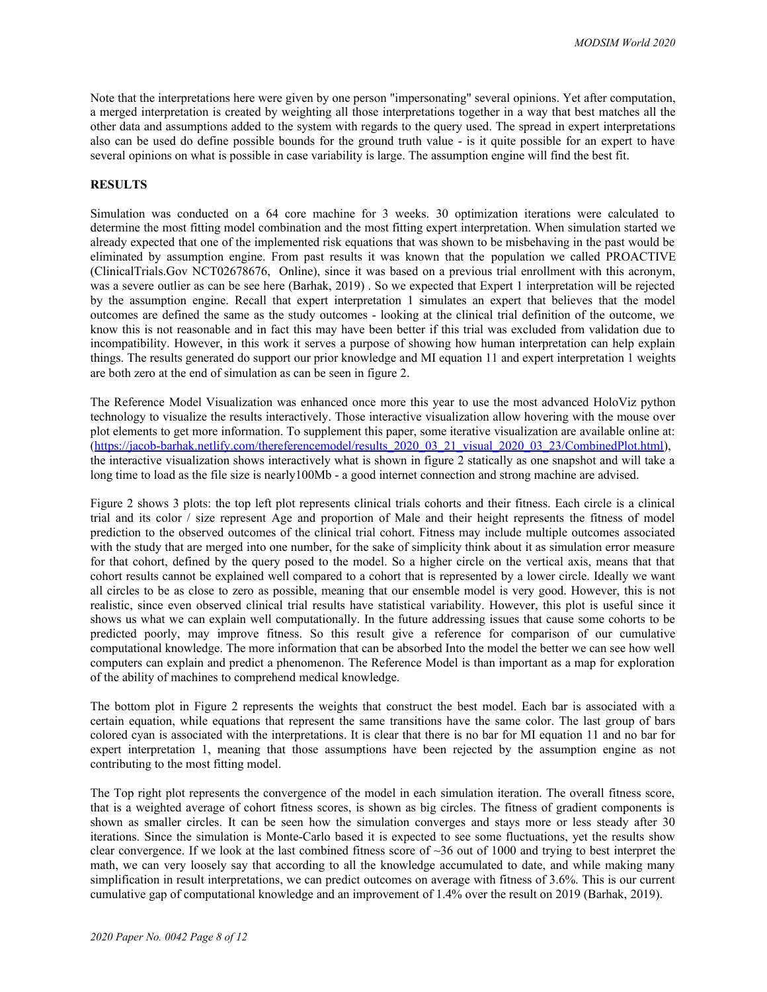Note that the interpretations here were given by one person "impersonating" several opinions. Yet after computation, a merged interpretation is created by weighting all those interpretations together in a way that best matches all the other data and assumptions added to the system with regards to the query used. The spread in expert interpretations also can be used do define possible bounds for the ground truth value - is it quite possible for an expert to have several opinions on what is possible in case variability is large. The assumption engine will find the best fit.

## **RESULTS**

Simulation was conducted on a 64 core machine for 3 weeks. 30 optimization iterations were calculated to determine the most fitting model combination and the most fitting expert interpretation. When simulation started we already expected that one of the implemented risk equations that was shown to be misbehaving in the past would be eliminated by assumption engine. From past results it was known that the population we called PROACTIVE (ClinicalTrials.Gov NCT02678676, Online), since it was based on a previous trial enrollment with this acronym, was a severe outlier as can be see here (Barhak, 2019) . So we expected that Expert 1 interpretation will be rejected by the assumption engine. Recall that expert interpretation 1 simulates an expert that believes that the model outcomes are defined the same as the study outcomes - looking at the clinical trial definition of the outcome, we know this is not reasonable and in fact this may have been better if this trial was excluded from validation due to incompatibility. However, in this work it serves a purpose of showing how human interpretation can help explain things. The results generated do support our prior knowledge and MI equation 11 and expert interpretation 1 weights are both zero at the end of simulation as can be seen in figure 2.

The Reference Model Visualization was enhanced once more this year to use the most advanced HoloViz python technology to visualize the results interactively. Those interactive visualization allow hovering with the mouse over plot elements to get more information. To supplement this paper, some iterative visualization are available online at: [\(https://jacob-barhak.netlify.com/thereferencemodel/results\\_2020\\_03\\_21\\_visual\\_2020\\_03\\_23/CombinedPlot.html](https://jacob-barhak.netlify.com/thereferencemodel/results_2020_03_21_visual_2020_03_23/CombinedPlot.html)), the interactive visualization shows interactively what is shown in figure 2 statically as one snapshot and will take a long time to load as the file size is nearly100Mb - a good internet connection and strong machine are advised.

Figure 2 shows 3 plots: the top left plot represents clinical trials cohorts and their fitness. Each circle is a clinical trial and its color / size represent Age and proportion of Male and their height represents the fitness of model prediction to the observed outcomes of the clinical trial cohort. Fitness may include multiple outcomes associated with the study that are merged into one number, for the sake of simplicity think about it as simulation error measure for that cohort, defined by the query posed to the model. So a higher circle on the vertical axis, means that that cohort results cannot be explained well compared to a cohort that is represented by a lower circle. Ideally we want all circles to be as close to zero as possible, meaning that our ensemble model is very good. However, this is not realistic, since even observed clinical trial results have statistical variability. However, this plot is useful since it shows us what we can explain well computationally. In the future addressing issues that cause some cohorts to be predicted poorly, may improve fitness. So this result give a reference for comparison of our cumulative computational knowledge. The more information that can be absorbed Into the model the better we can see how well computers can explain and predict a phenomenon. The Reference Model is than important as a map for exploration of the ability of machines to comprehend medical knowledge.

The bottom plot in Figure 2 represents the weights that construct the best model. Each bar is associated with a certain equation, while equations that represent the same transitions have the same color. The last group of bars colored cyan is associated with the interpretations. It is clear that there is no bar for MI equation 11 and no bar for expert interpretation 1, meaning that those assumptions have been rejected by the assumption engine as not contributing to the most fitting model.

The Top right plot represents the convergence of the model in each simulation iteration. The overall fitness score, that is a weighted average of cohort fitness scores, is shown as big circles. The fitness of gradient components is shown as smaller circles. It can be seen how the simulation converges and stays more or less steady after 30 iterations. Since the simulation is Monte-Carlo based it is expected to see some fluctuations, yet the results show clear convergence. If we look at the last combined fitness score of  $\sim$ 36 out of 1000 and trying to best interpret the math, we can very loosely say that according to all the knowledge accumulated to date, and while making many simplification in result interpretations, we can predict outcomes on average with fitness of 3.6%. This is our current cumulative gap of computational knowledge and an improvement of 1.4% over the result on 2019 (Barhak, 2019).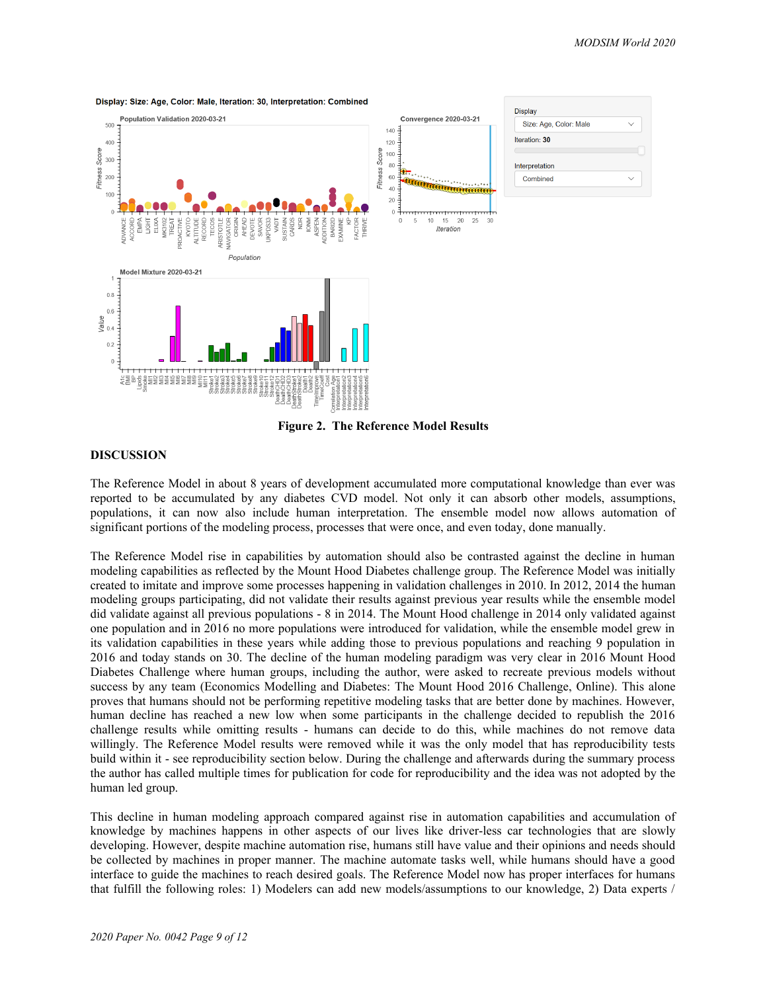

Display: Size: Age, Color: Male, Iteration: 30. Interpretation: Combined

**Figure 2. The Reference Model Results**

#### **DISCUSSION**

The Reference Model in about 8 years of development accumulated more computational knowledge than ever was reported to be accumulated by any diabetes CVD model. Not only it can absorb other models, assumptions, populations, it can now also include human interpretation. The ensemble model now allows automation of significant portions of the modeling process, processes that were once, and even today, done manually.

The Reference Model rise in capabilities by automation should also be contrasted against the decline in human modeling capabilities as reflected by the Mount Hood Diabetes challenge group. The Reference Model was initially created to imitate and improve some processes happening in validation challenges in 2010. In 2012, 2014 the human modeling groups participating, did not validate their results against previous year results while the ensemble model did validate against all previous populations - 8 in 2014. The Mount Hood challenge in 2014 only validated against one population and in 2016 no more populations were introduced for validation, while the ensemble model grew in its validation capabilities in these years while adding those to previous populations and reaching 9 population in 2016 and today stands on 30. The decline of the human modeling paradigm was very clear in 2016 Mount Hood Diabetes Challenge where human groups, including the author, were asked to recreate previous models without success by any team (Economics Modelling and Diabetes: The Mount Hood 2016 Challenge, Online). This alone proves that humans should not be performing repetitive modeling tasks that are better done by machines. However, human decline has reached a new low when some participants in the challenge decided to republish the 2016 challenge results while omitting results - humans can decide to do this, while machines do not remove data willingly. The Reference Model results were removed while it was the only model that has reproducibility tests build within it - see reproducibility section below. During the challenge and afterwards during the summary process the author has called multiple times for publication for code for reproducibility and the idea was not adopted by the human led group.

This decline in human modeling approach compared against rise in automation capabilities and accumulation of knowledge by machines happens in other aspects of our lives like driver-less car technologies that are slowly developing. However, despite machine automation rise, humans still have value and their opinions and needs should be collected by machines in proper manner. The machine automate tasks well, while humans should have a good interface to guide the machines to reach desired goals. The Reference Model now has proper interfaces for humans that fulfill the following roles: 1) Modelers can add new models/assumptions to our knowledge, 2) Data experts /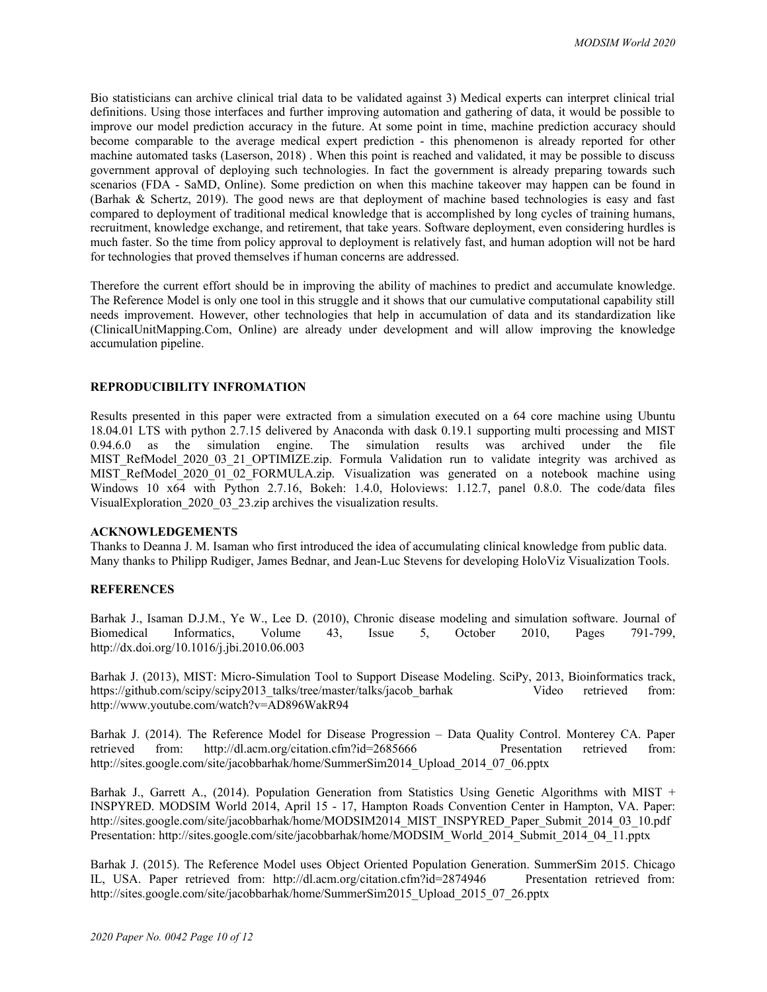Bio statisticians can archive clinical trial data to be validated against 3) Medical experts can interpret clinical trial definitions. Using those interfaces and further improving automation and gathering of data, it would be possible to improve our model prediction accuracy in the future. At some point in time, machine prediction accuracy should become comparable to the average medical expert prediction - this phenomenon is already reported for other machine automated tasks (Laserson, 2018) . When this point is reached and validated, it may be possible to discuss government approval of deploying such technologies. In fact the government is already preparing towards such scenarios (FDA - SaMD, Online). Some prediction on when this machine takeover may happen can be found in (Barhak & Schertz, 2019). The good news are that deployment of machine based technologies is easy and fast compared to deployment of traditional medical knowledge that is accomplished by long cycles of training humans, recruitment, knowledge exchange, and retirement, that take years. Software deployment, even considering hurdles is much faster. So the time from policy approval to deployment is relatively fast, and human adoption will not be hard for technologies that proved themselves if human concerns are addressed.

Therefore the current effort should be in improving the ability of machines to predict and accumulate knowledge. The Reference Model is only one tool in this struggle and it shows that our cumulative computational capability still needs improvement. However, other technologies that help in accumulation of data and its standardization like (ClinicalUnitMapping.Com, Online) are already under development and will allow improving the knowledge accumulation pipeline.

### **REPRODUCIBILITY INFROMATION**

Results presented in this paper were extracted from a simulation executed on a 64 core machine using Ubuntu 18.04.01 LTS with python 2.7.15 delivered by Anaconda with dask 0.19.1 supporting multi processing and MIST 0.94.6.0 as the simulation engine. The simulation results was archived under the file MIST RefModel 2020 03 21 OPTIMIZE.zip. Formula Validation run to validate integrity was archived as MIST RefModel 2020 01 02 FORMULA.zip. Visualization was generated on a notebook machine using Windows 10 x64 with Python 2.7.16, Bokeh: 1.4.0, Holoviews: 1.12.7, panel 0.8.0. The code/data files VisualExploration 2020 03 23.zip archives the visualization results.

#### **ACKNOWLEDGEMENTS**

Thanks to Deanna J. M. Isaman who first introduced the idea of accumulating clinical knowledge from public data. Many thanks to Philipp Rudiger, James Bednar, and Jean-Luc Stevens for developing HoloViz Visualization Tools.

#### **REFERENCES**

Barhak J., Isaman D.J.M., Ye W., Lee D. (2010), Chronic disease modeling and simulation software. Journal of Biomedical Informatics, Volume 43, Issue 5, October 2010, Pages 791-799, http://dx.doi.org/10.1016/j.jbi.2010.06.003

Barhak J. (2013), MIST: Micro-Simulation Tool to Support Disease Modeling. SciPy, 2013, Bioinformatics track, https://github.com/scipy/scipy2013\_talks/tree/master/talks/jacob\_barhak Video retrieved from: http://www.youtube.com/watch?v=AD896WakR94

Barhak J. (2014). The Reference Model for Disease Progression – Data Quality Control. Monterey CA. Paper retrieved from: http://dl.acm.org/citation.cfm?id=2685666 Presentation retrieved from: http://sites.google.com/site/jacobbarhak/home/SummerSim2014\_Upload\_2014\_07\_06.pptx

Barhak J., Garrett A., (2014). Population Generation from Statistics Using Genetic Algorithms with MIST + INSPYRED. MODSIM World 2014, April 15 - 17, Hampton Roads Convention Center in Hampton, VA. Paper: http://sites.google.com/site/jacobbarhak/home/MODSIM2014\_MIST\_INSPYRED\_Paper\_Submit\_2014\_03\_10.pdf Presentation: http://sites.google.com/site/jacobbarhak/home/MODSIM\_World\_2014\_Submit\_2014\_04\_11.pptx

Barhak J. (2015). The Reference Model uses Object Oriented Population Generation. SummerSim 2015. Chicago IL, USA. Paper retrieved from: http://dl.acm.org/citation.cfm?id=2874946 Presentation retrieved from: http://sites.google.com/site/jacobbarhak/home/SummerSim2015\_Upload\_2015\_07\_26.pptx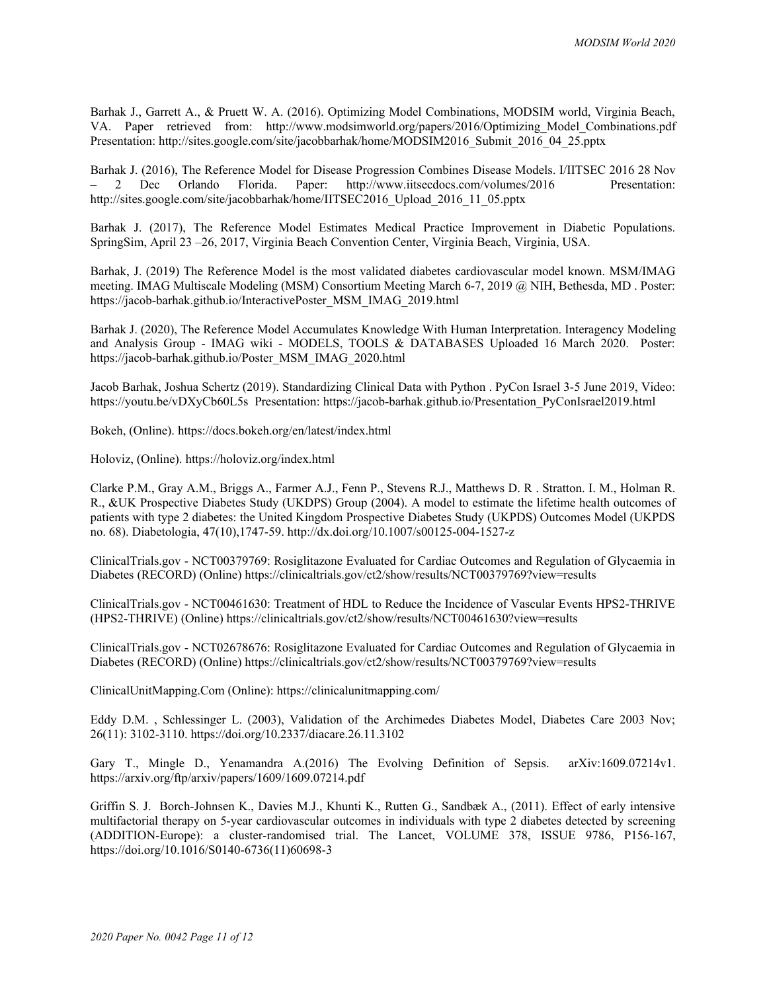Barhak J., Garrett A., & Pruett W. A. (2016). Optimizing Model Combinations, MODSIM world, Virginia Beach, VA. Paper retrieved from: http://www.modsimworld.org/papers/2016/Optimizing\_Model\_Combinations.pdf Presentation: http://sites.google.com/site/jacobbarhak/home/MODSIM2016\_Submit\_2016\_04\_25.pptx

Barhak J. (2016), The Reference Model for Disease Progression Combines Disease Models. I/IITSEC 2016 28 Nov – 2 Dec Orlando Florida. Paper: http://www.iitsecdocs.com/volumes/2016 Presentation: http://sites.google.com/site/jacobbarhak/home/IITSEC2016\_Upload\_2016\_11\_05.pptx

Barhak J. (2017), The Reference Model Estimates Medical Practice Improvement in Diabetic Populations. SpringSim, April 23 –26, 2017, Virginia Beach Convention Center, Virginia Beach, Virginia, USA.

Barhak, J. (2019) The Reference Model is the most validated diabetes cardiovascular model known. MSM/IMAG meeting. IMAG Multiscale Modeling (MSM) Consortium Meeting March 6-7, 2019 @ NIH, Bethesda, MD . Poster: https://jacob-barhak.github.io/InteractivePoster\_MSM\_IMAG\_2019.html

Barhak J. (2020), The Reference Model Accumulates Knowledge With Human Interpretation. Interagency Modeling and Analysis Group - IMAG wiki - MODELS, TOOLS & DATABASES Uploaded 16 March 2020. Poster: https://jacob-barhak.github.io/Poster\_MSM\_IMAG\_2020.html

Jacob Barhak, Joshua Schertz (2019). Standardizing Clinical Data with Python . PyCon Israel 3-5 June 2019, Video: https://youtu.be/vDXyCb60L5s Presentation: https://jacob-barhak.github.io/Presentation\_PyConIsrael2019.html

Bokeh, (Online). https://docs.bokeh.org/en/latest/index.html

Holoviz, (Online). https://holoviz.org/index.html

Clarke P.M., Gray A.M., Briggs A., Farmer A.J., Fenn P., Stevens R.J., Matthews D. R . Stratton. I. M., Holman R. R., &UK Prospective Diabetes Study (UKDPS) Group (2004). A model to estimate the lifetime health outcomes of patients with type 2 diabetes: the United Kingdom Prospective Diabetes Study (UKPDS) Outcomes Model (UKPDS no. 68). Diabetologia, 47(10),1747-59. http://dx.doi.org/10.1007/s00125-004-1527-z

ClinicalTrials.gov - NCT00379769: Rosiglitazone Evaluated for Cardiac Outcomes and Regulation of Glycaemia in Diabetes (RECORD) (Online) https://clinicaltrials.gov/ct2/show/results/NCT00379769?view=results

ClinicalTrials.gov - NCT00461630: Treatment of HDL to Reduce the Incidence of Vascular Events HPS2-THRIVE (HPS2-THRIVE) (Online) https://clinicaltrials.gov/ct2/show/results/NCT00461630?view=results

ClinicalTrials.gov - NCT02678676: Rosiglitazone Evaluated for Cardiac Outcomes and Regulation of Glycaemia in Diabetes (RECORD) (Online) https://clinicaltrials.gov/ct2/show/results/NCT00379769?view=results

ClinicalUnitMapping.Com (Online): https://clinicalunitmapping.com/

Eddy D.M. , Schlessinger L. (2003), Validation of the Archimedes Diabetes Model, Diabetes Care 2003 Nov; 26(11): 3102-3110. https://doi.org/10.2337/diacare.26.11.3102

Gary T., Mingle D., Yenamandra A.(2016) The Evolving Definition of Sepsis. arXiv:1609.07214v1. https://arxiv.org/ftp/arxiv/papers/1609/1609.07214.pdf

Griffin S. J. Borch-Johnsen K., Davies M.J., Khunti K., Rutten G., Sandbæk A., (2011). Effect of early intensive multifactorial therapy on 5-year cardiovascular outcomes in individuals with type 2 diabetes detected by screening (ADDITION-Europe): a cluster-randomised trial. The Lancet, VOLUME 378, ISSUE 9786, P156-167, https://doi.org/10.1016/S0140-6736(11)60698-3